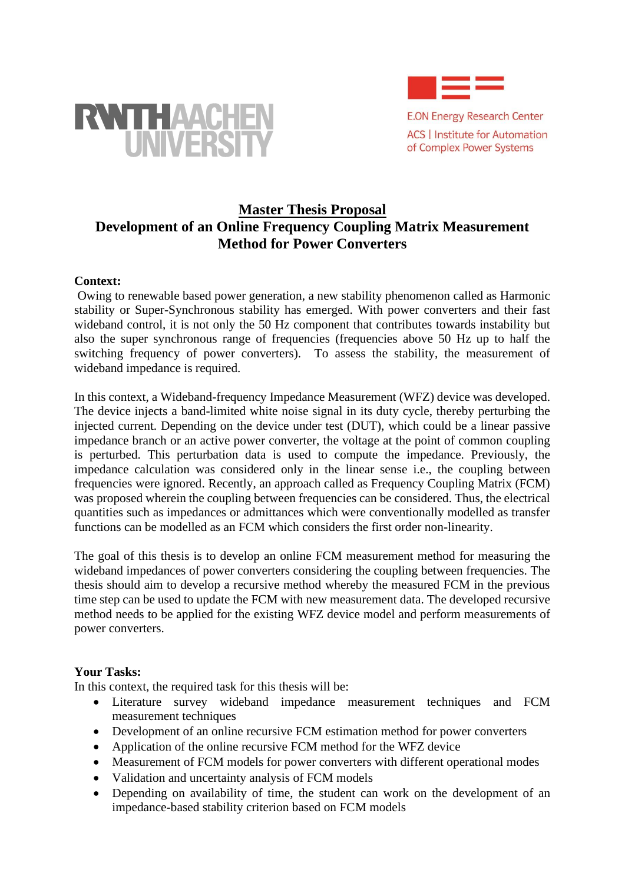

**E.ON Energy Research Center ACS | Institute for Automation** of Complex Power Systems



# **Master Thesis Proposal Development of an Online Frequency Coupling Matrix Measurement Method for Power Converters**

#### **Context:**

Owing to renewable based power generation, a new stability phenomenon called as Harmonic stability or Super-Synchronous stability has emerged. With power converters and their fast wideband control, it is not only the 50 Hz component that contributes towards instability but also the super synchronous range of frequencies (frequencies above 50 Hz up to half the switching frequency of power converters). To assess the stability, the measurement of wideband impedance is required.

In this context, a Wideband-frequency Impedance Measurement (WFZ) device was developed. The device injects a band-limited white noise signal in its duty cycle, thereby perturbing the injected current. Depending on the device under test (DUT), which could be a linear passive impedance branch or an active power converter, the voltage at the point of common coupling is perturbed. This perturbation data is used to compute the impedance. Previously, the impedance calculation was considered only in the linear sense i.e., the coupling between frequencies were ignored. Recently, an approach called as Frequency Coupling Matrix (FCM) was proposed wherein the coupling between frequencies can be considered. Thus, the electrical quantities such as impedances or admittances which were conventionally modelled as transfer functions can be modelled as an FCM which considers the first order non-linearity.

The goal of this thesis is to develop an online FCM measurement method for measuring the wideband impedances of power converters considering the coupling between frequencies. The thesis should aim to develop a recursive method whereby the measured FCM in the previous time step can be used to update the FCM with new measurement data. The developed recursive method needs to be applied for the existing WFZ device model and perform measurements of power converters.

#### **Your Tasks:**

In this context, the required task for this thesis will be:

- Literature survey wideband impedance measurement techniques and FCM measurement techniques
- Development of an online recursive FCM estimation method for power converters
- Application of the online recursive FCM method for the WFZ device
- Measurement of FCM models for power converters with different operational modes
- Validation and uncertainty analysis of FCM models
- Depending on availability of time, the student can work on the development of an impedance-based stability criterion based on FCM models